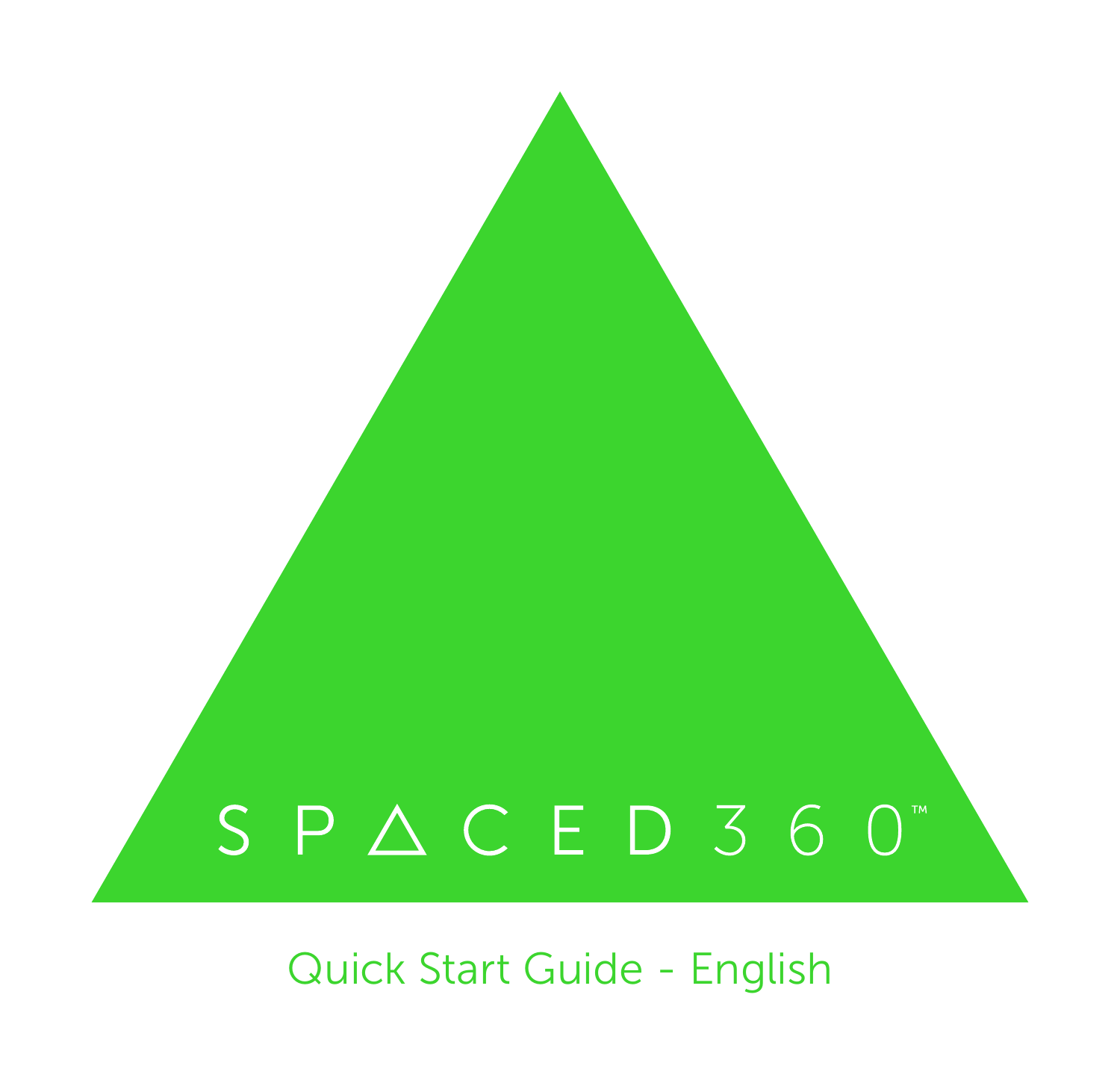# $S$  P  $\triangle$  C E D 3 6 0"

Quick Start Guide - English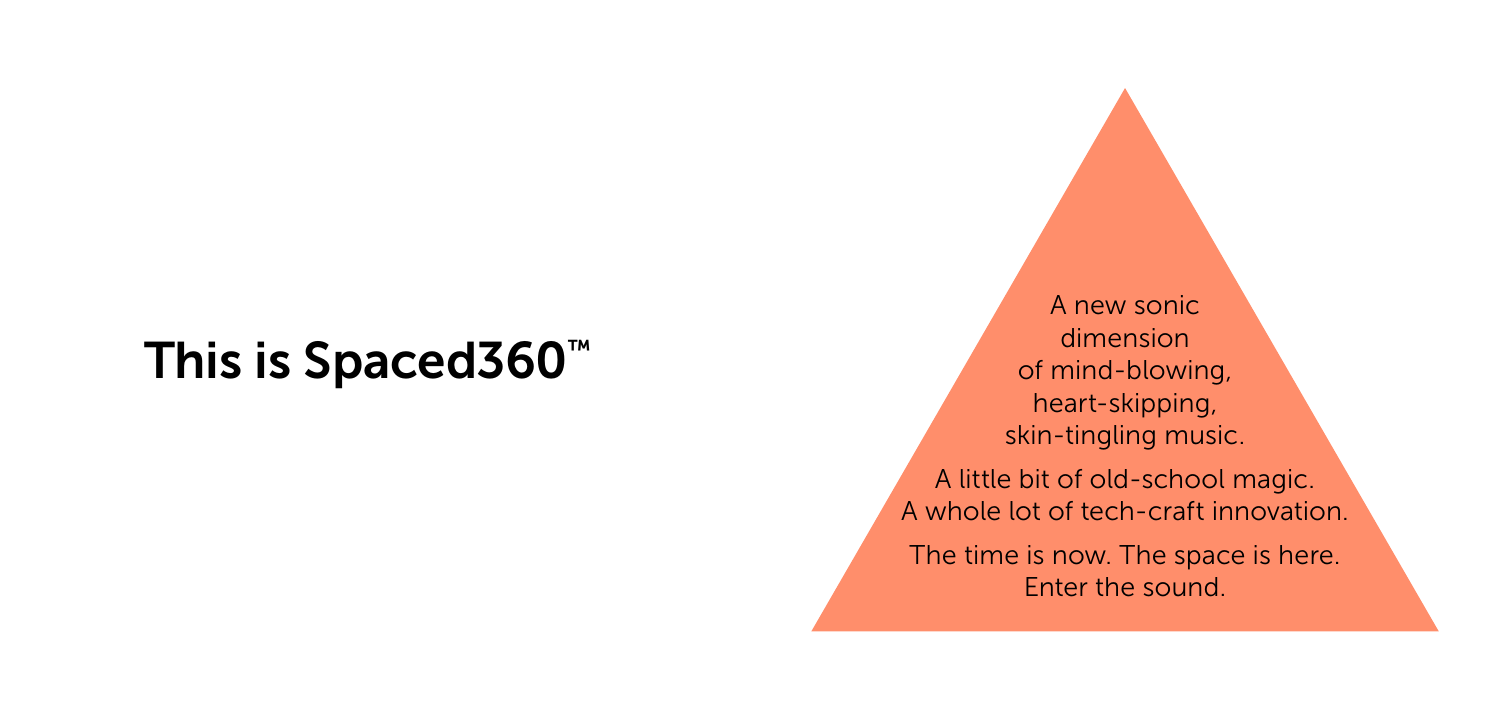# This is Spaced360™

A new sonic dimension of mind-blowing, heart-skipping, skin-tingling music.

A little bit of old-school magic. A whole lot of tech-craft innovation.

The time is now. The space is here. Enter the sound.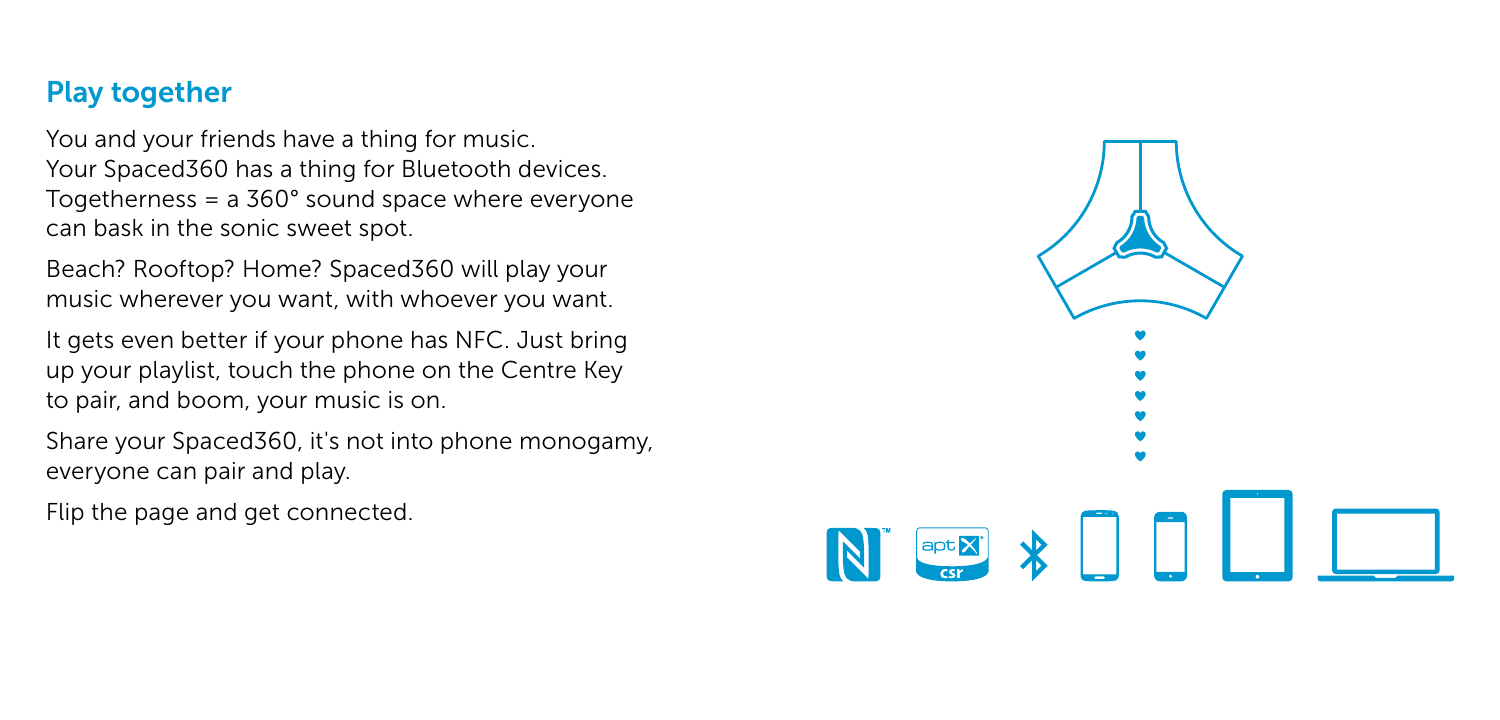### Play together

You and your friends have a thing for music. Your Spaced360 has a thing for Bluetooth devices. Togetherness = a 360° sound space where everyone can bask in the sonic sweet spot.

Beach? Rooftop? Home? Spaced360 will play your music wherever you want, with whoever you want.

It gets even better if your phone has NFC. Just bring up your playlist, touch the phone on the Centre Key to pair, and boom, your music is on.

Share your Spaced360, it's not into phone monogamy, everyone can pair and play.

Flip the page and get connected.

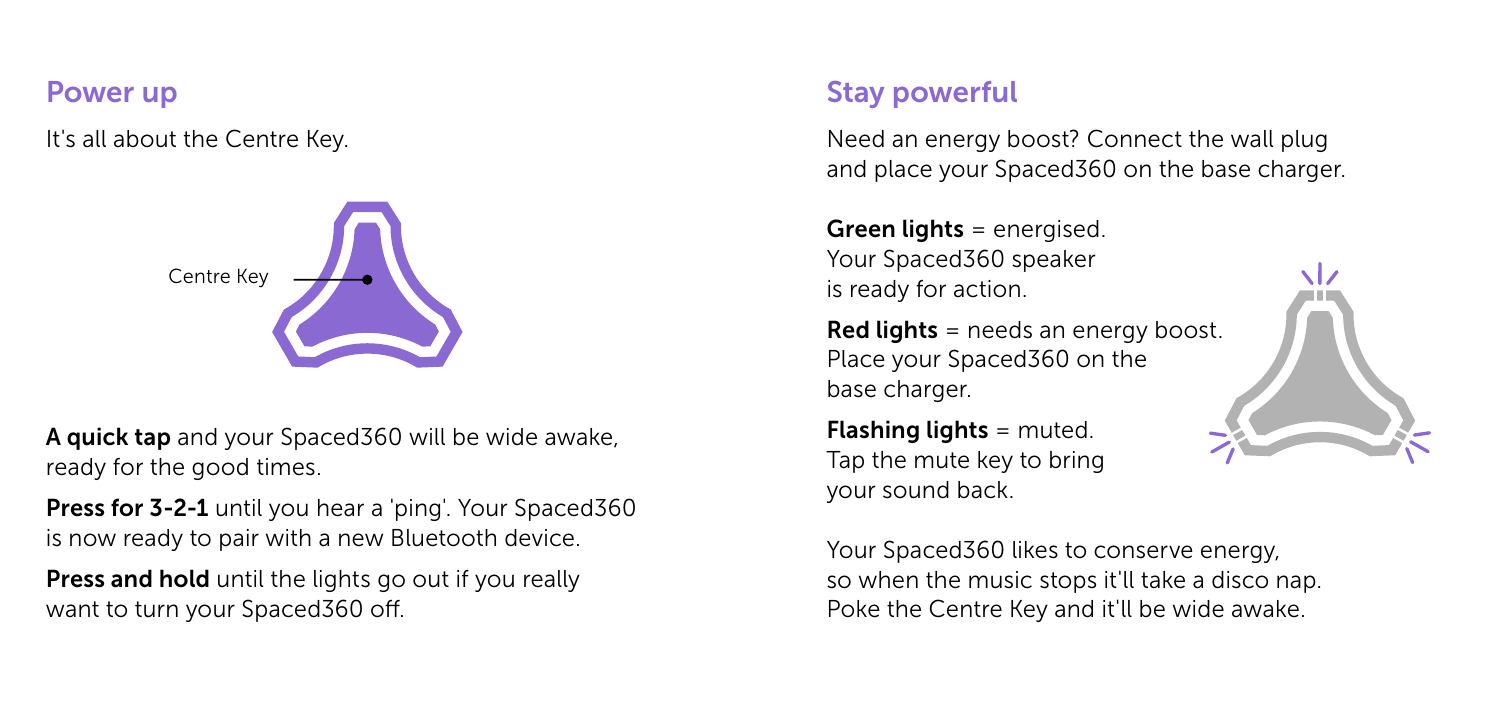#### Power up

It's all about the Centre Key.



A quick tap and your Spaced360 will be wide awake, ready for the good times.

Press for 3-2-1 until you hear a 'ping'. Your Spaced360 is now ready to pair with a new Bluetooth device.

Press and hold until the lights go out if you really want to turn your Spaced360 off.

## Stay powerful

Need an energy boost? Connect the wall plug and place your Spaced360 on the base charger.

Green lights = energised. Your Spaced360 speaker is ready for action.

Red lights = needs an energy boost. Place your Spaced360 on the base charger.

**Flashing lights =**  $muted$ **.** Tap the mute key to bring your sound back.

Your Spaced360 likes to conserve energy, so when the music stops it'll take a disco nap. Poke the Centre Key and it'll be wide awake.

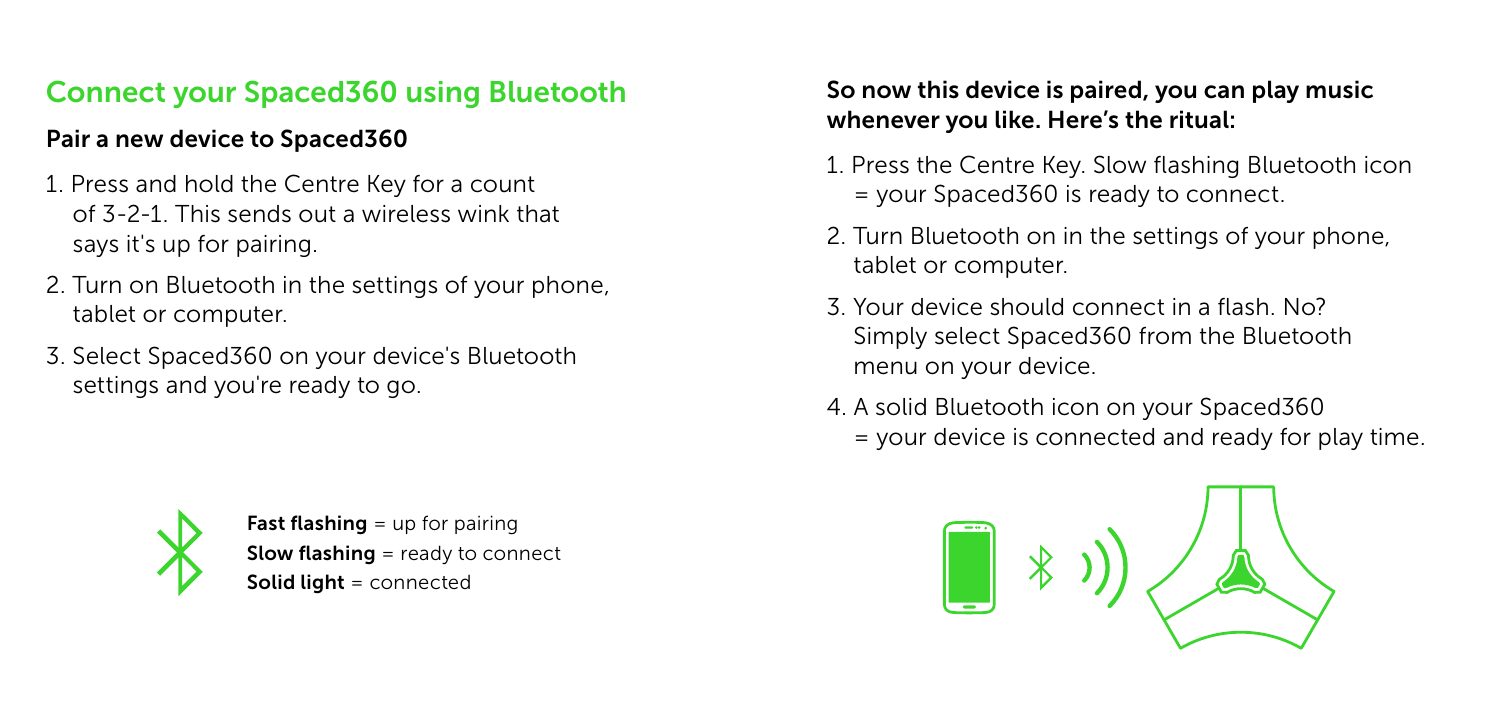## Connect your Spaced360 using Bluetooth

#### Pair a new device to Spaced360

- 1. Press and hold the Centre Key for a count of 3-2-1. This sends out a wireless wink that says it's up for pairing.
- 2. Turn on Bluetooth in the settings of your phone, tablet or computer.
- 3. Select Spaced360 on your device's Bluetooth settings and you're ready to go.



**Fast flashing**  $=$  up for pairing **Slow flashing** = ready to connect Solid light = connected

#### So now this device is paired, you can play music whenever you like. Here's the ritual:

- 1. Press the Centre Key. Slow flashing Bluetooth icon = your Spaced360 is ready to connect.
- 2. Turn Bluetooth on in the settings of your phone, tablet or computer.
- 3. Your device should connect in a flash. No? Simply select Spaced360 from the Bluetooth menu on your device.
- 4. A solid Bluetooth icon on your Spaced360 = your device is connected and ready for play time.

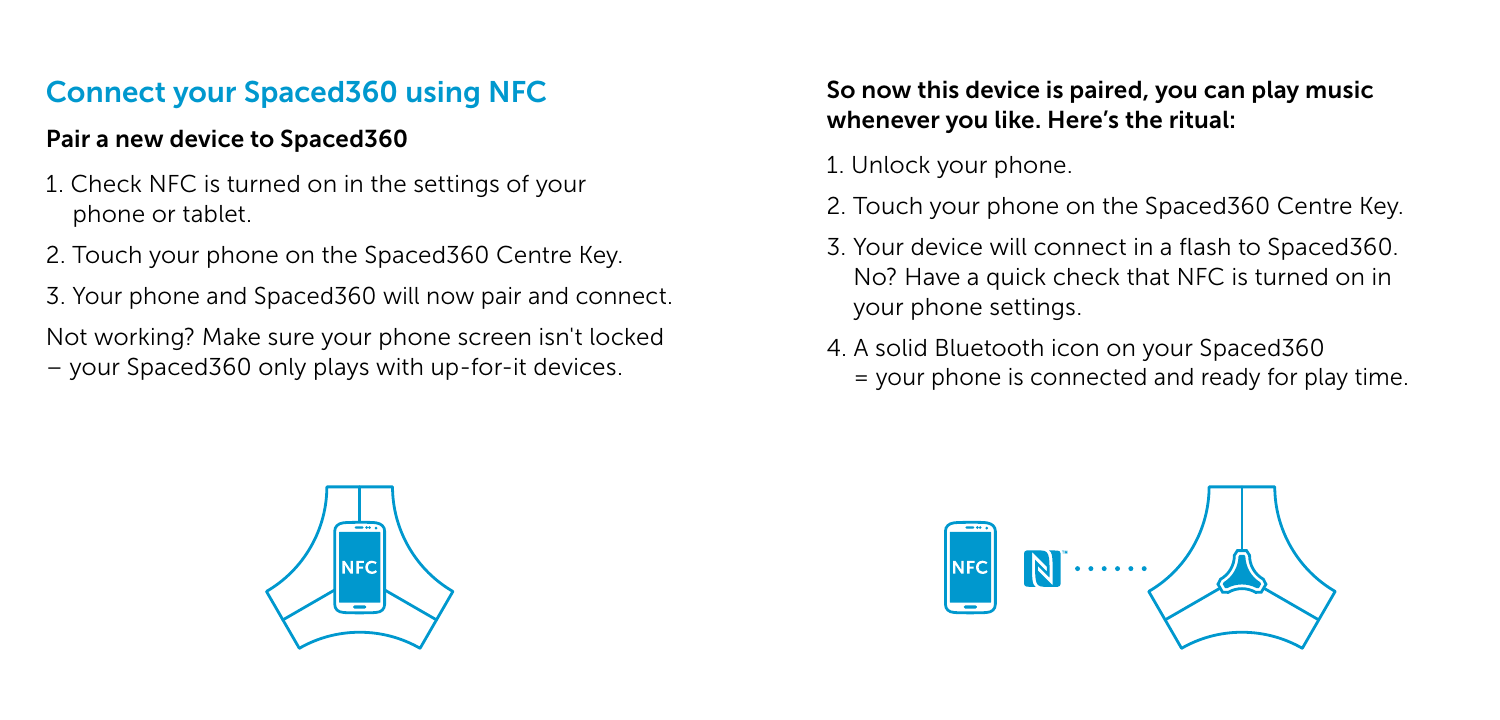## Connect your Spaced360 using NFC

#### Pair a new device to Spaced360

- 1. Check NFC is turned on in the settings of your phone or tablet.
- 2. Touch your phone on the Spaced360 Centre Key.
- 3. Your phone and Spaced360 will now pair and connect.
- Not working? Make sure your phone screen isn't locked – your Spaced360 only plays with up-for-it devices.

#### So now this device is paired, you can play music whenever you like. Here's the ritual:

- 1. Unlock your phone.
- 2. Touch your phone on the Spaced360 Centre Key.
- 3. Your device will connect in a flash to Spaced360. No? Have a quick check that NFC is turned on in your phone settings.
- 4. A solid Bluetooth icon on your Spaced360 = your phone is connected and ready for play time.



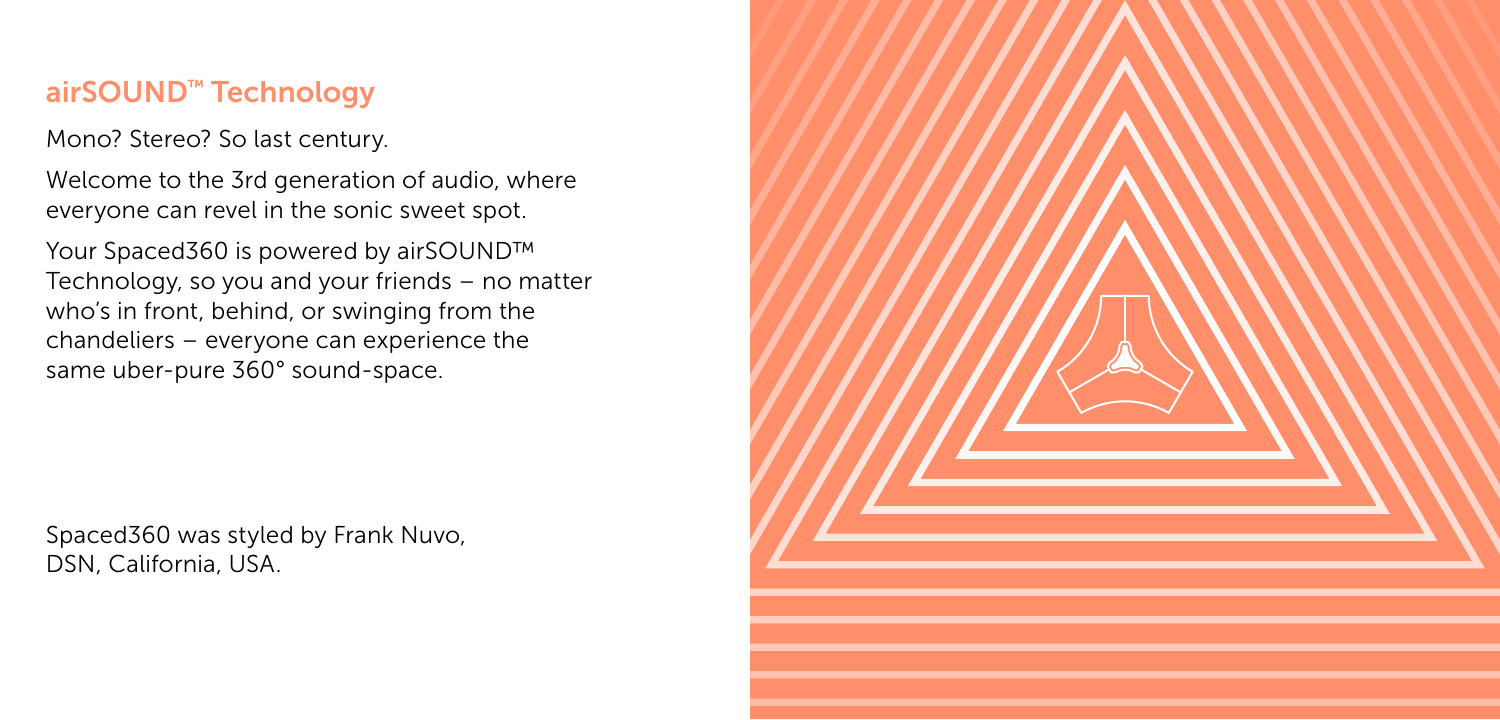#### airSOUND™ Technology

Mono? Stereo? So last century.

Welcome to the 3rd generation of audio, where everyone can revel in the sonic sweet spot.

Your Spaced360 is powered by airSOUND™ Technology, so you and your friends – no matter who's in front, behind, or swinging from the chandeliers – everyone can experience the same uber-pure 360° sound-space.

Spaced360 was styled by Frank Nuvo, DSN, California, USA.

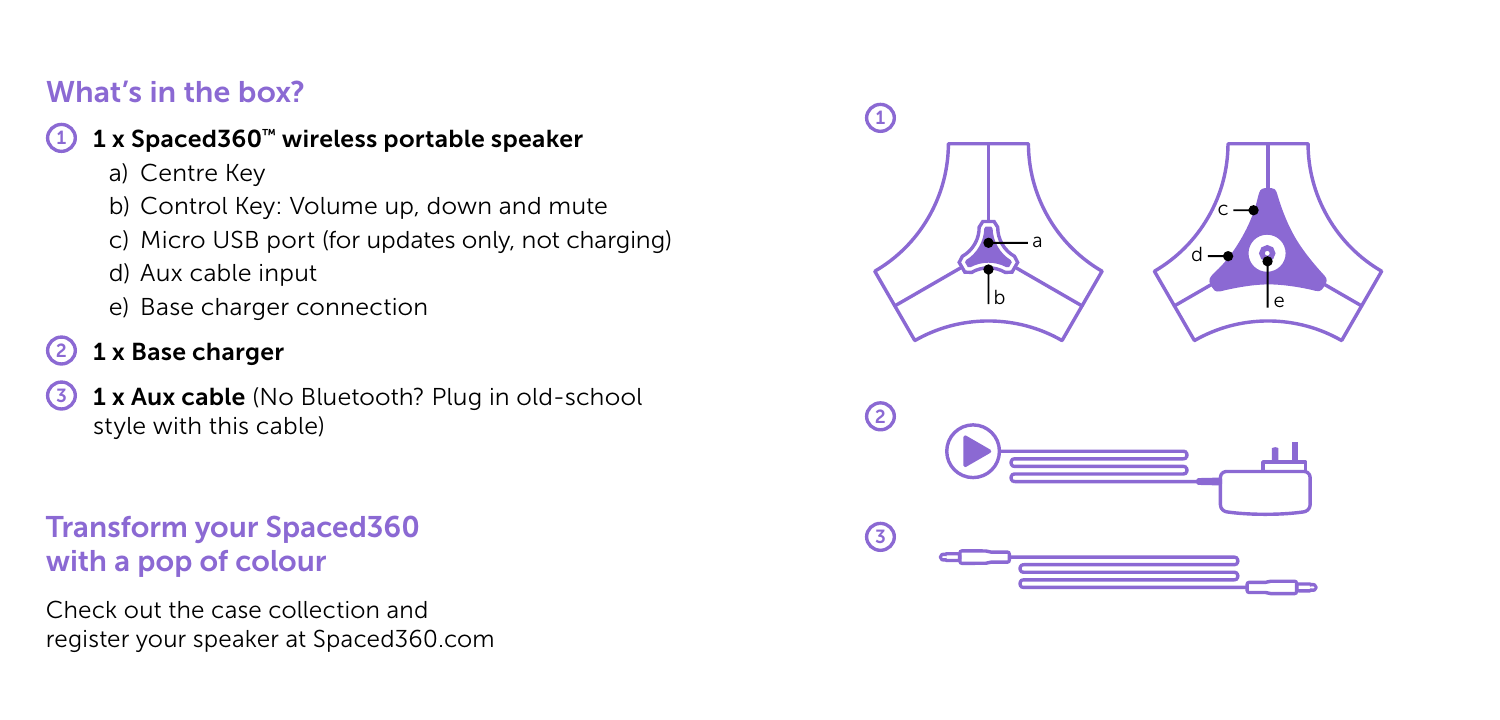## What's in the box?

#### 1 x Spaced360™ wireless portable speaker

- a) Centre Key
- b) Control Key: Volume up, down and mute
- c) Micro USB port (for updates only, not charging)
- d) Aux cable input
- e) Base charger connection

# 2 1 x Base charger

3 1 x Aux cable (No Bluetooth? Plug in old-school style with this cable)

## Transform your Spaced360 with a pop of colour

Check out the case collection and register your speaker at Spaced360.com